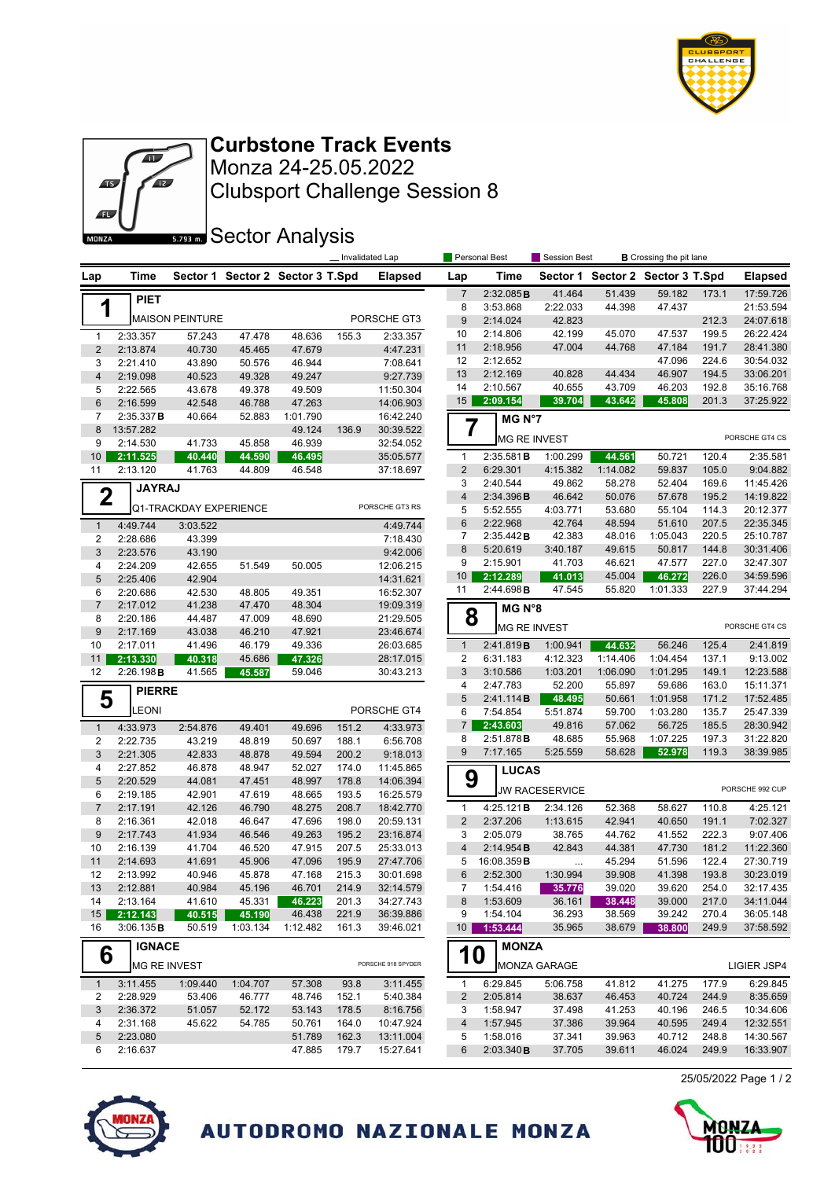



Clubsport Challenge Session 8 Monza 24-25.05.2022 **Curbstone Track Events**

**Sector Analysis** 

|                           |                        |                        |                  |                                  | Invalidated Lap |                        |                              | Personal Best          |                       | Session Best         |                                  | <b>B</b> Crossing the pit lane |                        |  |
|---------------------------|------------------------|------------------------|------------------|----------------------------------|-----------------|------------------------|------------------------------|------------------------|-----------------------|----------------------|----------------------------------|--------------------------------|------------------------|--|
| Lap                       | Time                   |                        |                  | Sector 1 Sector 2 Sector 3 T.Spd |                 | <b>Elapsed</b>         | Lap                          | Time                   |                       |                      | Sector 1 Sector 2 Sector 3 T.Spd |                                | <b>Elapsed</b>         |  |
|                           | <b>PIET</b>            |                        |                  |                                  |                 |                        | $\overline{7}$               | 2:32.085B              | 41.464                | 51.439               | 59.182                           | 173.1                          | 17:59.726              |  |
| 1                         |                        |                        |                  |                                  |                 |                        | 8                            | 3:53.868               | 2:22.033              | 44.398               | 47.437                           |                                | 21:53.594              |  |
|                           |                        | <b>MAISON PEINTURE</b> |                  |                                  |                 | PORSCHE GT3            | 9                            | 2:14.024               | 42.823                |                      |                                  | 212.3                          | 24:07.618              |  |
| $\mathbf{1}$              | 2:33.357               | 57.243                 | 47.478           | 48.636                           | 155.3           | 2:33.357               | 10                           | 2:14.806               | 42.199                | 45.070               | 47.537                           | 199.5                          | 26:22.424              |  |
| $\overline{2}$            | 2:13.874               | 40.730                 | 45.465           | 47.679                           |                 | 4:47.231               | 11                           | 2:18.956               | 47.004                | 44.768               | 47.184                           | 191.7                          | 28:41.380              |  |
| 3                         | 2:21.410               | 43.890                 | 50.576           | 46.944                           |                 | 7:08.641               | 12                           | 2:12.652               |                       |                      | 47.096                           | 224.6                          | 30:54.032              |  |
| $\overline{\mathbf{4}}$   | 2:19.098               | 40.523                 | 49.328           | 49.247                           |                 | 9:27.739               | 13                           | 2:12.169               | 40.828                | 44.434               | 46.907                           | 194.5                          | 33:06.201              |  |
| 5                         | 2:22.565               | 43.678                 | 49.378           | 49.509                           |                 | 11:50.304              | 14                           | 2:10.567<br>2:09.154   | 40.655<br>39.704      | 43.709<br>43.642     | 46.203<br>45.808                 | 192.8<br>201.3                 | 35:16.768<br>37:25.922 |  |
| $6\phantom{1}6$           | 2:16.599               | 42.548                 | 46.788           | 47.263                           |                 | 14:06.903              | 15                           |                        |                       |                      |                                  |                                |                        |  |
| $\overline{7}$<br>$\bf 8$ | 2:35.337B<br>13:57.282 | 40.664                 | 52.883           | 1:01.790<br>49.124               |                 | 16:42.240              | $\overline{7}$               | MG N°7                 |                       |                      |                                  |                                |                        |  |
| 9                         | 2:14.530               | 41.733                 | 45.858           | 46.939                           | 136.9           | 30:39.522<br>32:54.052 |                              |                        | <b>MG RE INVEST</b>   |                      |                                  |                                | PORSCHE GT4 CS         |  |
| 10 <sup>1</sup>           | 2:11.525               | 40.440                 | 44.590           | 46.495                           |                 | 35:05.577              | $\mathbf{1}$                 | 2:35.581B              | 1:00.299              | 44.561               | 50.721                           | 120.4                          | 2:35.581               |  |
| 11                        | 2:13.120               | 41.763                 | 44.809           | 46.548                           |                 | 37:18.697              | $\overline{2}$               | 6:29.301               | 4:15.382              | 1:14.082             | 59.837                           | 105.0                          | 9:04.882               |  |
|                           |                        |                        |                  |                                  |                 |                        | 3                            | 2:40.544               | 49.862                | 58.278               | 52.404                           | 169.6                          | 11:45.426              |  |
| $\mathbf 2$               | <b>JAYRAJ</b>          |                        |                  |                                  |                 |                        | $\overline{4}$               | 2:34.396B              | 46.642                | 50.076               | 57.678                           | 195.2                          | 14:19.822              |  |
|                           |                        | Q1-TRACKDAY EXPERIENCE |                  |                                  |                 | PORSCHE GT3 RS         | 5                            | 5:52.555               | 4:03.771              | 53.680               | 55.104                           | 114.3                          | 20:12.377              |  |
| $\mathbf{1}$              | 4:49.744               | 3:03.522               |                  |                                  |                 | 4:49.744               | $6\phantom{1}$               | 2:22.968               | 42.764                | 48.594               | 51.610                           | 207.5                          | 22:35.345              |  |
| $\overline{2}$            | 2:28.686               | 43.399                 |                  |                                  |                 | 7:18.430               | 7                            | 2:35.442B              | 42.383                | 48.016               | 1:05.043                         | 220.5                          | 25:10.787              |  |
| 3                         | 2:23.576               | 43.190                 |                  |                                  |                 | 9:42.006               | 8                            | 5:20.619               | 3:40.187              | 49.615               | 50.817                           | 144.8                          | 30:31.406              |  |
| $\overline{4}$            | 2:24.209               | 42.655                 | 51.549           | 50.005                           |                 | 12:06.215              | 9                            | 2:15.901               | 41.703                | 46.621               | 47.577                           | 227.0                          | 32:47.307              |  |
| 5                         | 2:25.406               | 42.904                 |                  |                                  |                 | 14:31.621              | 10                           | 2:12.289               | 41.013                | 45.004               | 46.272                           | 226.0                          | 34:59.596              |  |
| 6                         | 2:20.686               | 42.530                 | 48.805           | 49.351                           |                 | 16:52.307              | 11                           | 2:44.698B              | 47.545                | 55.820               | 1:01.333                         | 227.9                          | 37:44.294              |  |
| $\overline{7}$            | 2:17.012               | 41.238                 | 47.470           | 48.304                           |                 | 19:09.319              |                              | MG N°8                 |                       |                      |                                  |                                |                        |  |
| 8                         | 2:20.186               | 44.487                 | 47.009           | 48.690                           |                 | 21:29.505              | 8                            |                        | <b>MG RE INVEST</b>   |                      |                                  |                                | PORSCHE GT4 CS         |  |
| 9                         | 2:17.169               | 43.038                 | 46.210           | 47.921                           |                 | 23:46.674              |                              |                        |                       |                      |                                  |                                |                        |  |
| 10                        | 2:17.011               | 41.496                 | 46.179           | 49.336                           |                 | 26:03.685              | $\mathbf{1}$                 | 2:41.819B              | 1:00.941              | 44.632               | 56.246                           | 125.4                          | 2:41.819               |  |
| 11<br>12                  | 2:13.330<br>2:26.198B  | 40.318<br>41.565       | 45.686<br>45.587 | 47.326<br>59.046                 |                 | 28:17.015<br>30:43.213 | $\overline{\mathbf{c}}$<br>3 | 6:31.183<br>3:10.586   | 4:12.323<br>1:03.201  | 1:14.406<br>1:06.090 | 1:04.454<br>1:01.295             | 137.1<br>149.1                 | 9:13.002<br>12:23.588  |  |
|                           |                        |                        |                  |                                  |                 |                        | 4                            | 2:47.783               | 52.200                | 55.897               | 59.686                           | 163.0                          | 15:11.371              |  |
| 5                         | <b>PIERRE</b>          |                        |                  |                                  |                 |                        | 5                            | 2:41.114B              | 48.495                | 50.661               | 1:01.958                         | 171.2                          | 17:52.485              |  |
|                           | <b>EONI</b>            |                        |                  |                                  |                 | PORSCHE GT4            | 6                            | 7:54.854               | 5:51.874              | 59.700               | 1:03.280                         | 135.7                          | 25:47.339              |  |
| $\mathbf{1}$              | 4:33.973               | 2:54.876               | 49.401           | 49.696                           | 151.2           | 4:33.973               | $\overline{7}$               | 2:43.603               | 49.816                | 57.062               | 56.725                           | 185.5                          | 28:30.942              |  |
| $\overline{2}$            | 2:22.735               | 43.219                 | 48.819           | 50.697                           | 188.1           | 6:56.708               | 8                            | 2:51.878B              | 48.685                | 55.968               | 1:07.225                         | 197.3                          | 31:22.820              |  |
| 3                         | 2:21.305               | 42.833                 | 48.878           | 49.594                           | 200.2           | 9:18.013               | 9                            | 7:17.165               | 5:25.559              | 58.628               | 52.978                           | 119.3                          | 38:39.985              |  |
| $\overline{4}$            | 2:27.852               | 46.878                 | 48.947           | 52.027                           | 174.0           | 11:45.865              |                              | <b>LUCAS</b>           |                       |                      |                                  |                                |                        |  |
| 5                         | 2:20.529               | 44.081                 | 47.451           | 48.997                           | 178.8           | 14:06.394              | 9                            |                        |                       |                      |                                  |                                |                        |  |
| 6                         | 2:19.185               | 42.901                 | 47.619           | 48.665                           | 193.5           | 16:25.579              |                              |                        | <b>JW RACESERVICE</b> |                      |                                  |                                | PORSCHE 992 CUP        |  |
| $\overline{7}$            | 2:17.191               | 42.126                 | 46.790           | 48.275                           | 208.7           | 18:42.770              | $\mathbf{1}$                 | 4:25.121B              | 2:34.126              | 52.368               | 58.627                           | 110.8                          | 4:25.121               |  |
| 8                         | 2:16.361               | 42.018                 | 46.647           | 47.696                           | 198.0           | 20:59.131              | $\overline{2}$               | 2:37.206               | 1:13.615              | 42.941               | 40.650                           | 191.1                          | 7:02.327               |  |
| 9                         | 2:17.743               | 41.934                 | 46.546           | 49.263                           | 195.2           | 23:16.874              | 3                            | 2:05.079               | 38.765                | 44.762               | 41.552                           | 222.3                          | 9:07.406               |  |
| 10                        | 2:16.139               | 41.704                 | 46.520           | 47.915                           | 207.5           | 25:33.013              | $\overline{4}$               | 2:14.954B              | 42.843                | 44.381               | 47.730                           | 181.2                          | 11:22.360              |  |
| 11<br>12                  | 2:14.693               | 41.691                 | 45.906           | 47.096<br>47.168                 | 195.9<br>215.3  | 27:47.706              | 5<br>6                       | 16:08.359B<br>2:52.300 | $\cdots$<br>1:30.994  | 45.294<br>39.908     | 51.596<br>41.398                 | 122.4<br>193.8                 | 27:30.719<br>30:23.019 |  |
| 13                        | 2:13.992<br>2:12.881   | 40.946<br>40.984       | 45.878<br>45.196 | 46.701                           | 214.9           | 30:01.698<br>32:14.579 | 7                            | 1:54.416               | 35.776                | 39.020               | 39.620                           | 254.0                          | 32:17.435              |  |
| 14                        | 2:13.164               | 41.610                 | 45.331           | 46.223                           | 201.3           | 34:27.743              | 8                            | 1:53.609               | 36.161                | 38.448               | 39.000                           | 217.0                          | 34:11.044              |  |
| 15 <sup>15</sup>          | 2:12.143               | 40.515                 | 45.190           | 46.438                           | 221.9           | 36:39.886              | 9                            | 1:54.104               | 36.293                | 38.569               | 39.242                           | 270.4                          | 36:05.148              |  |
| 16                        | 3:06.135B              | 50.519                 | 1:03.134         | 1:12.482                         | 161.3           | 39:46.021              | 10 <sup>1</sup>              | 1:53.444               | 35.965                | 38.679               | 38.800                           | 249.9                          | 37:58.592              |  |
|                           |                        |                        |                  |                                  |                 |                        |                              | <b>MONZA</b>           |                       |                      |                                  |                                |                        |  |
| 6                         | <b>IGNACE</b>          |                        |                  |                                  |                 |                        |                              | <b>10</b>              |                       |                      |                                  |                                |                        |  |
|                           | MG RE INVEST           |                        |                  |                                  |                 | PORSCHE 918 SPYDER     |                              |                        | <b>MONZA GARAGE</b>   |                      |                                  |                                | LIGIER JSP4            |  |
| $\mathbf{1}$              | 3:11.455               | 1:09.440               | 1:04.707         | 57.308                           | 93.8            | 3:11.455               | $\mathbf{1}$                 | 6:29.845               | 5:06.758              | 41.812               | 41.275                           | 177.9                          | 6:29.845               |  |
| 2                         | 2:28.929               | 53.406                 | 46.777           | 48.746                           | 152.1           | 5:40.384               | 2                            | 2:05.814               | 38.637                | 46.453               | 40.724                           | 244.9                          | 8:35.659               |  |
| $\sqrt{3}$                | 2:36.372               | 51.057                 | 52.172           | 53.143                           | 178.5           | 8:16.756               | 3                            | 1:58.947               | 37.498                | 41.253               | 40.196                           | 246.5                          | 10:34.606              |  |
| 4                         | 2:31.168               | 45.622                 | 54.785           | 50.761                           | 164.0           | 10:47.924              | 4                            | 1:57.945               | 37.386                | 39.964               | 40.595                           | 249.4                          | 12:32.551              |  |
| $\sqrt{5}$                | 2:23.080               |                        |                  | 51.789                           | 162.3           | 13:11.004              | 5                            | 1:58.016               | 37.341                | 39.963               | 40.712                           | 248.8                          | 14:30.567              |  |
| 6                         | 2:16.637               |                        |                  | 47.885                           | 179.7           | 15:27.641              | 6                            | 2:03.340B              | 37.705                | 39.611               | 46.024                           | 249.9                          | 16:33.907              |  |

25/05/2022 Page 1 / 2





AUTODROMO NAZIONALE MONZA